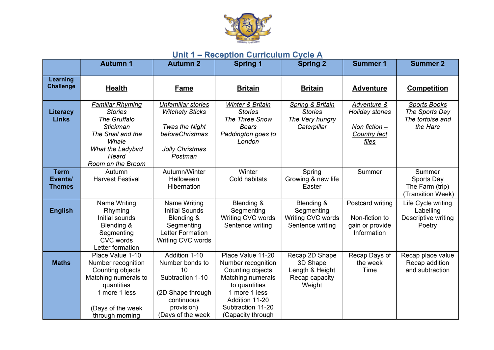

## **Unit 1 – Reception Curriculum Cycle A**

|                                         | <b>Autumn 1</b>                                                                                                                                               | <b>Autumn 2</b>                                                                                                                  | <b>Spring 1</b>                                                                                                                                                                       | <b>Spring 2</b>                                                           | <b>Summer 1</b>                                                            | <b>Summer 2</b>                                                       |
|-----------------------------------------|---------------------------------------------------------------------------------------------------------------------------------------------------------------|----------------------------------------------------------------------------------------------------------------------------------|---------------------------------------------------------------------------------------------------------------------------------------------------------------------------------------|---------------------------------------------------------------------------|----------------------------------------------------------------------------|-----------------------------------------------------------------------|
| Learning<br><b>Challenge</b>            | <b>Health</b>                                                                                                                                                 | Fame                                                                                                                             | <b>Britain</b>                                                                                                                                                                        | <b>Britain</b>                                                            | <b>Adventure</b>                                                           | <b>Competition</b>                                                    |
| Literacy<br><b>Links</b>                | <b>Familiar Rhyming</b><br><b>Stories</b><br>The Gruffalo<br><b>Stickman</b><br>The Snail and the<br>Whale<br>What the Ladybird<br>Heard<br>Room on the Broom | <b>Unfamiliar stories</b><br><b>Witchety Sticks</b><br>Twas the Night<br>beforeChristmas<br>Jolly Christmas<br>Postman           | <b>Winter &amp; Britain</b><br><b>Stories</b><br>The Three Snow<br><b>Bears</b><br>Paddington goes to<br>London                                                                       | Spring & Britain<br><b>Stories</b><br>The Very hungry<br>Caterpillar      | Adventure &<br>Holiday stories<br>Non fiction $-$<br>Country fact<br>files | <b>Sports Books</b><br>The Sports Day<br>The tortoise and<br>the Hare |
| <b>Term</b><br>Events/<br><b>Themes</b> | Autumn<br><b>Harvest Festival</b>                                                                                                                             | Autumn/Winter<br>Halloween<br>Hibernation                                                                                        | Winter<br>Cold habitats                                                                                                                                                               | Spring<br>Growing & new life<br>Easter                                    | Summer                                                                     | Summer<br>Sports Day<br>The Farm (trip)<br>(Transition Week)          |
| <b>English</b>                          | Name Writing<br>Rhyming<br>Initial sounds<br>Blending &<br>Segmenting<br>CVC words<br>Letter formation                                                        | Name Writing<br><b>Initial Sounds</b><br>Blending &<br>Segmenting<br>Letter Formation<br>Writing CVC words                       | Blending &<br>Segmenting<br>Writing CVC words<br>Sentence writing                                                                                                                     | Blending &<br>Segmenting<br>Writing CVC words<br>Sentence writing         | Postcard writing<br>Non-fiction to<br>gain or provide<br>Information       | Life Cycle writing<br>Labelling<br>Descriptive writing<br>Poetry      |
| <b>Maths</b>                            | Place Value 1-10<br>Number recognition<br>Counting objects<br>Matching numerals to<br>quantities<br>1 more 1 less<br>(Days of the week<br>through morning     | Addition 1-10<br>Number bonds to<br>10<br>Subtraction 1-10<br>(2D Shape through<br>continuous<br>provision)<br>(Days of the week | Place Value 11-20<br>Number recognition<br>Counting objects<br><b>Matching numerals</b><br>to quantities<br>1 more 1 less<br>Addition 11-20<br>Subtraction 11-20<br>(Capacity through | Recap 2D Shape<br>3D Shape<br>Length & Height<br>Recap capacity<br>Weight | Recap Days of<br>the week<br>Time                                          | Recap place value<br>Recap addition<br>and subtraction                |